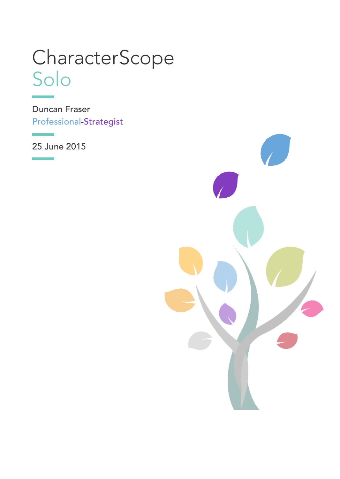# <span id="page-0-0"></span>**CharacterScope** Solo

Duncan Fraser [Professional-Strategist](javascript:void(0))

25 June 2015

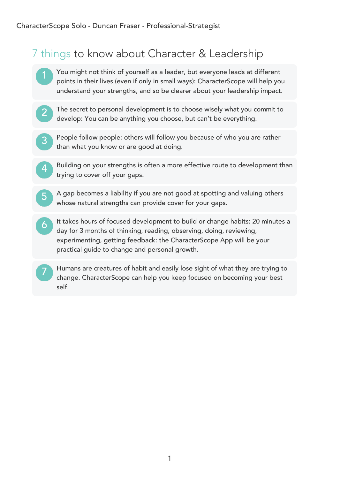# 7 things to know about Character & Leadership

- 1 ) <u>'</u> You might not think of yourself as a leader, but everyone leads at different points in their lives (even if only in small ways): CharacterScope will help you understand your strengths, and so be clearer about your leadership impact.
- 2 ) ! The secret to personal development is to choose wisely what you commit to develop: You can be anything you choose, but can't be everything.
- 3 ) <mark>.</mark> People follow people: others will follow you because of who you are rather than what you know or are good at doing.
- 4 ) . Building on your strengths is often a more effective route to development than trying to cover off your gaps.
	- 5 ) { A gap becomes a liability if you are not good at spotting and valuing others whose natural strengths can provide cover for your gaps.
- 6 ) <mark>.</mark> It takes hours of focused development to build or change habits: 20 minutes a day for 3 months of thinking, reading, observing, doing, reviewing, experimenting, getting feedback: the CharacterScope App will be your practical guide to change and personal growth.
	- 7 ) [ Humans are creatures of habit and easily lose sight of what they are trying to change. CharacterScope can help you keep focused on becoming your best self.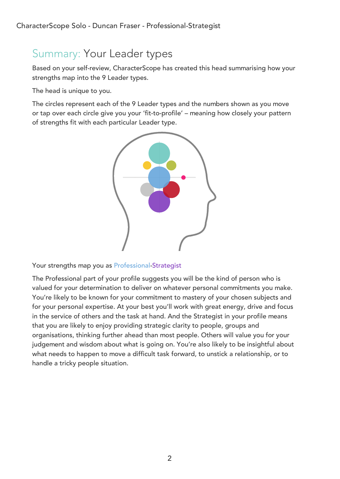# Summary: Your Leader types

Based on your self-review, CharacterScope has created this head summarising how your strengths map into the 9 Leader types.

The head is unique to you.

The circles represent each of the 9 Leader types and the numbers shown as you move or tap over each circle give you your 'fit-to-profile' – meaning how closely your pattern of strengths fit with each particular Leader type.



Your strengths map you as [Professional-Strategist](javascript:void(0))

The Professional part of your profile suggests you will be the kind of person who is valued for your determination to deliver on whatever personal commitments you make. You're likely to be known for your commitment to mastery of your chosen subjects and for your personal expertise. At your best you'll work with great energy, drive and focus in the service of others and the task at hand. And the Strategist in your profile means that you are likely to enjoy providing strategic clarity to people, groups and organisations, thinking further ahead than most people. Others will value you for your judgement and wisdom about what is going on. You're also likely to be insightful about what needs to happen to move a difficult task forward, to unstick a relationship, or to handle a tricky people situation.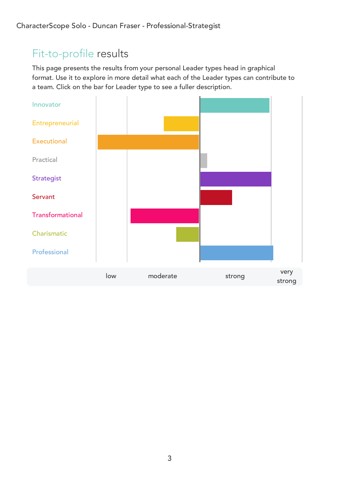# Fit-to-profile results

This page presents the results from your personal Leader types head in graphical format. Use it to explore in more detail what each of the Leader types can contribute to a team. Click on the bar for Leader type to see a fuller description.

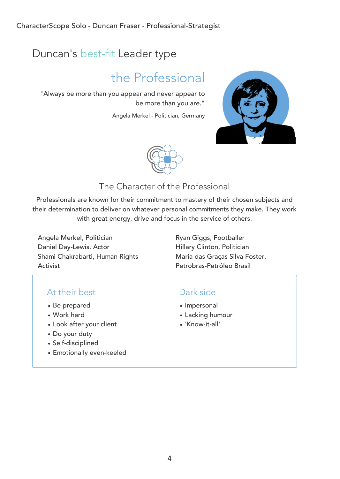# Duncan's best-fit Leader type

# [the Professional](javascript:void(0))

"Always be more than you appear and never appear to be more than you are."

Angela Merkel - Politician, Germany





# The Character of the Professional

Professionals are known for their commitment to mastery of their chosen subjects and their determination to deliver on whatever personal commitments they make. They work with great energy, drive and focus in the service of others.

Angela Merkel, Politician **Ryan Giggs, Footballer** Daniel Day-Lewis, Actor Hillary Clinton, Politician Shami Chakrabarti, Human Rights Activist

Maria das Graças Silva Foster, Petrobras-Petróleo Brasil

### At their best

- Be prepared
- Work hard
- Look after your client
- Do your duty
- Self-disciplined
- Emotionally even-keeled

- Impersonal
- Lacking humour
- 'Know-it-all'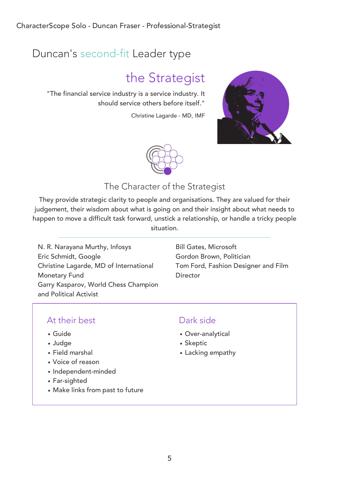# Duncan's second-fit Leader type

# [the Strategist](javascript:void(0))

"The financial service industry is a service industry. It should service others before itself."

Christine Lagarde - MD, IMF





### The Character of the Strategist

They provide strategic clarity to people and organisations. They are valued for their judgement, their wisdom about what is going on and their insight about what needs to happen to move a difficult task forward, unstick a relationship, or handle a tricky people situation.

N. R. Narayana Murthy, Infosys Bill Gates, Microsoft Eric Schmidt, Google Gordon Brown, Politician Christine Lagarde, MD of International Monetary Fund Garry Kasparov, World Chess Champion and Political Activist

Tom Ford, Fashion Designer and Film **Director** 

# At their best

- Guide
- Judge
- Field marshal
- Voice of reason
- Independent-minded
- Far-sighted
- Make links from past to future

- Over-analytical
- Skeptic
- Lacking empathy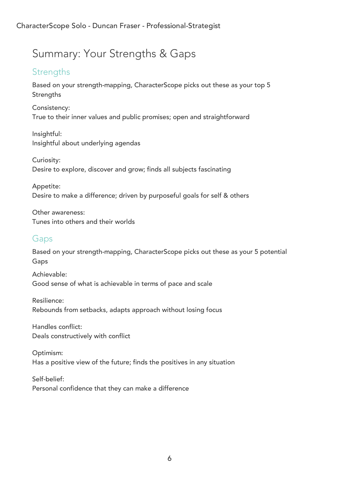# Summary: Your Strengths & Gaps

# **Strengths**

Based on your strength-mapping, CharacterScope picks out these as your top 5 **Strengths** 

Consistency: True to their inner values and public promises; open and straightforward

Insightful: Insightful about underlying agendas

Curiosity: Desire to explore, discover and grow; finds all subjects fascinating

Appetite: Desire to make a difference; driven by purposeful goals for self & others

Other awareness: Tunes into others and their worlds

### Gaps

Based on your strength-mapping, CharacterScope picks out these as your 5 potential Gaps

Achievable: Good sense of what is achievable in terms of pace and scale

Resilience: Rebounds from setbacks, adapts approach without losing focus

Handles conflict: Deals constructively with conflict

Optimism: Has a positive view of the future; finds the positives in any situation

Self-belief: Personal confidence that they can make a difference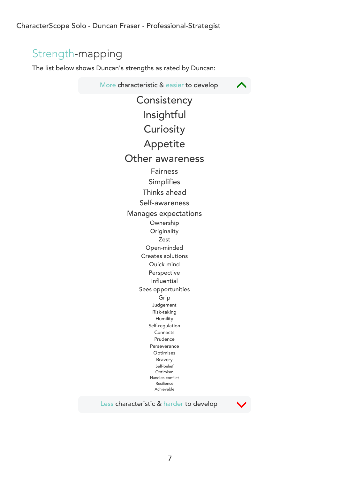CharacterScope Solo - Duncan Fraser - Professional-Strategist

# Strength-mapping

The list below shows Duncan's strengths as rated by Duncan:

More characteristic & easier to develop **[Consistency](#page-0-0)** [Insightful](#page-0-0) **[Curiosity](#page-0-0)** [Appetite](#page-0-0) [Other awareness](#page-0-0) [Fairness](#page-0-0) [Simplifies](#page-0-0) [Thinks ahead](#page-0-0) [Self-awareness](#page-0-0) [Manages expectations](#page-0-0) [Ownership](#page-0-0) **[Originality](#page-0-0)** [Zest](#page-0-0) [Open-minded](#page-0-0) [Creates solutions](#page-0-0) [Quick mind](#page-0-0) [Perspective](#page-0-0) [Influential](#page-0-0) [Sees opportunities](#page-0-0) [Grip](#page-0-0) [Judgement](#page-0-0) [Risk-taking](#page-0-0) [Humility](#page-0-0) [Self-regulation](#page-0-0) [Connects](#page-0-0) [Prudence](#page-0-0) [Perseverance](#page-0-0) [Optimises](#page-0-0) [Bravery](#page-0-0) [Self-belief](#page-0-0) [Optimism](#page-0-0) [Handles conflict](#page-0-0) [Resilience](#page-0-0) [Achievable](#page-0-0)

Less characteristic & harder to develop



 $\blacktriangle$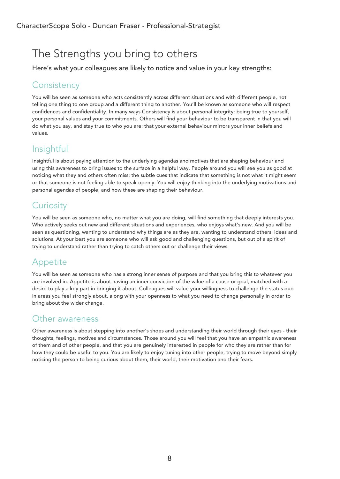# The Strengths you bring to others

Here's what your colleagues are likely to notice and value in your key strengths:

# **[Consistency](javascript:void(0))**

You will be seen as someone who acts consistently across different situations and with different people, not telling one thing to one group and a different thing to another. You'll be known as someone who will respect confidences and confidentiality. In many ways Consistency is about personal integrity: being true to yourself, your personal values and your commitments. Others will find your behaviour to be transparent in that you will do what you say, and stay true to who you are: that your external behaviour mirrors your inner beliefs and values.

# [Insightful](javascript:void(0))

Insightful is about paying attention to the underlying agendas and motives that are shaping behaviour and using this awareness to bring issues to the surface in a helpful way. People around you will see you as good at noticing what they and others often miss: the subtle cues that indicate that something is not what it might seem or that someone is not feeling able to speak openly. You will enjoy thinking into the underlying motivations and personal agendas of people, and how these are shaping their behaviour.

# **[Curiosity](javascript:void(0))**

You will be seen as someone who, no matter what you are doing, will find something that deeply interests you. Who actively seeks out new and different situations and experiences, who enjoys what's new. And you will be seen as questioning, wanting to understand why things are as they are, wanting to understand others' ideas and solutions. At your best you are someone who will ask good and challenging questions, but out of a spirit of trying to understand rather than trying to catch others out or challenge their views.

# [Appetite](javascript:void(0))

You will be seen as someone who has a strong inner sense of purpose and that you bring this to whatever you are involved in. Appetite is about having an inner conviction of the value of a cause or goal, matched with a desire to play a key part in bringing it about. Colleagues will value your willingness to challenge the status quo in areas you feel strongly about, along with your openness to what you need to change personally in order to bring about the wider change.

### [Other awareness](javascript:void(0))

Other awareness is about stepping into another's shoes and understanding their world through their eyes - their thoughts, feelings, motives and circumstances. Those around you will feel that you have an empathic awareness of them and of other people, and that you are genuinely interested in people for who they are rather than for how they could be useful to you. You are likely to enjoy tuning into other people, trying to move beyond simply noticing the person to being curious about them, their world, their motivation and their fears.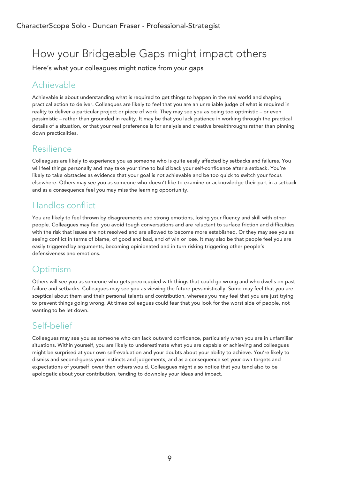# How your Bridgeable Gaps might impact others

Here's what your colleagues might notice from your gaps

# [Achievable](javascript:void(0))

Achievable is about understanding what is required to get things to happen in the real world and shaping practical action to deliver. Colleagues are likely to feel that you are an unreliable judge of what is required in reality to deliver a particular project or piece of work. They may see you as being too optimistic – or even pessimistic – rather than grounded in reality. It may be that you lack patience in working through the practical details of a situation, or that your real preference is for analysis and creative breakthroughs rather than pinning down practicalities.

### [Resilience](javascript:void(0))

Colleagues are likely to experience you as someone who is quite easily affected by setbacks and failures. You will feel things personally and may take your time to build back your self-confidence after a setback. You're likely to take obstacles as evidence that your goal is not achievable and be too quick to switch your focus elsewhere. Others may see you as someone who doesn't like to examine or acknowledge their part in a setback and as a consequence feel you may miss the learning opportunity.

# [Handles conflict](javascript:void(0))

You are likely to feel thrown by disagreements and strong emotions, losing your fluency and skill with other people. Colleagues may feel you avoid tough conversations and are reluctant to surface friction and difficulties, with the risk that issues are not resolved and are allowed to become more established. Or they may see you as seeing conflict in terms of blame, of good and bad, and of win or lose. It may also be that people feel you are easily triggered by arguments, becoming opinionated and in turn risking triggering other people's defensiveness and emotions.

# **[Optimism](javascript:void(0))**

Others will see you as someone who gets preoccupied with things that could go wrong and who dwells on past failure and setbacks. Colleagues may see you as viewing the future pessimistically. Some may feel that you are sceptical about them and their personal talents and contribution, whereas you may feel that you are just trying to prevent things going wrong. At times colleagues could fear that you look for the worst side of people, not wanting to be let down.

# [Self-belief](javascript:void(0))

Colleagues may see you as someone who can lack outward confidence, particularly when you are in unfamiliar situations. Within yourself, you are likely to underestimate what you are capable of achieving and colleagues might be surprised at your own self-evaluation and your doubts about your ability to achieve. You're likely to dismiss and second-guess your instincts and judgements, and as a consequence set your own targets and expectations of yourself lower than others would. Colleagues might also notice that you tend also to be apologetic about your contribution, tending to downplay your ideas and impact.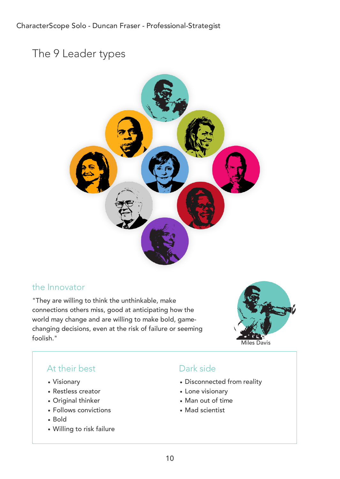# The 9 Leader types



#### [the Innovator](javascript:void(0))

"They are willing to think the unthinkable, make connections others miss, good at anticipating how the world may change and are willing to make bold, gamechanging decisions, even at the risk of failure or seeming foolish."



# At their best

- Visionary
- Restless creator
- Original thinker
- Follows convictions
- Bold
- Willing to risk failure

- Disconnected from reality
- Lone visionary
- Man out of time
- Mad scientist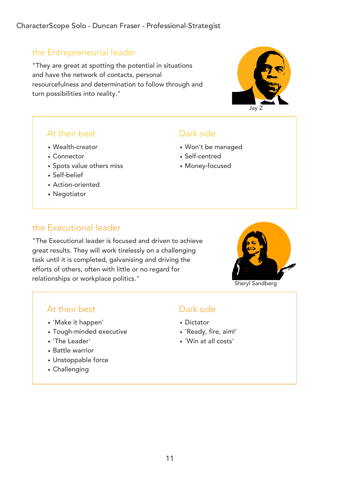### [the Entrepreneurial leader](javascript:void(0))

"They are great at spotting the potential in situations and have the network of contacts, personal resourcefulness and determination to follow through and turn possibilities into reality."



- Wealth-creator
- Connector
- Spots value others miss
- Self-belief
- Action-oriented
- Negotiator

### Dark side

- Won't be managed
- Self-centred
- Money-focused

### [the Executional leader](javascript:void(0))

"The Executional leader is focused and driven to achieve great results. They will work tirelessly on a challenging task until it is completed, galvanising and driving the efforts of others, often with little or no regard for relationships or workplace politics."



Sheryl Sandberg

Jay Z

#### At their best

- 'Make it happen'
- Tough-minded executive
- 'The Leader'
- Battle warrior
- Unstoppable force
- Challenging

- Dictator
- 'Ready, fire, aim!'
- 'Win at all costs'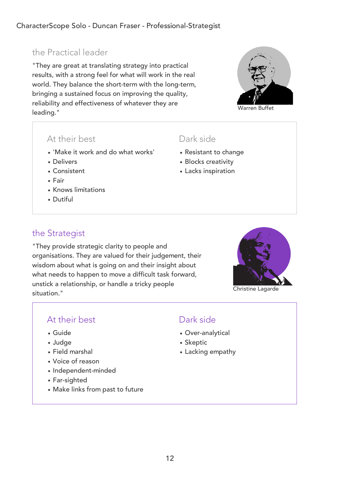# [the Practical leader](javascript:void(0))

"They are great at translating strategy into practical results, with a strong feel for what will work in the real world. They balance the short-term with the long-term, bringing a sustained focus on improving the quality, reliability and effectiveness of whatever they are leading."

#### At their best

- 'Make it work and do what works'
- Delivers
- Consistent
- Fair
- Knows limitations
- Dutiful

#### Dark side

- Resistant to change
- Blocks creativity
- Lacks inspiration

### [the Strategist](javascript:void(0))

"They provide strategic clarity to people and organisations. They are valued for their judgement, their wisdom about what is going on and their insight about what needs to happen to move a difficult task forward, unstick a relationship, or handle a tricky people situation."



Christine Lagarde

### At their best

- Guide
- Judge
- Field marshal
- Voice of reason
- Independent-minded
- Far-sighted
- Make links from past to future

- Over-analytical
- Skeptic
- Lacking empathy

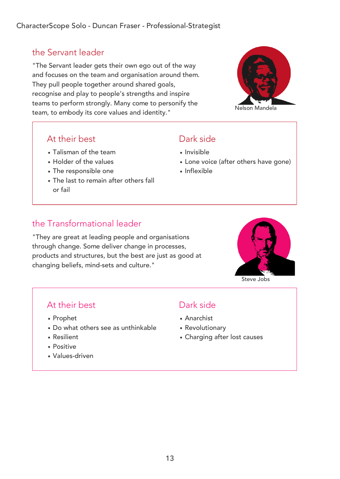# [the Servant leader](javascript:void(0))

"The Servant leader gets their own ego out of the way and focuses on the team and organisation around them. They pull people together around shared goals, recognise and play to people's strengths and inspire teams to perform strongly. Many come to personify the team, to embody its core values and identity."



### At their best

- Talisman of the team
- Holder of the values
- The responsible one
- The last to remain after others fall or fail

# Dark side

- Invisible
- Lone voice (after others have gone)
- Inflexible

# [the Transformational leader](javascript:void(0))

"They are great at leading people and organisations through change. Some deliver change in processes, products and structures, but the best are just as good at changing beliefs, mind-sets and culture."



Steve Jobs

# At their best

- Prophet
- Do what others see as unthinkable
- Resilient
- Positive
- Values-driven

- Anarchist
- Revolutionary
- Charging after lost causes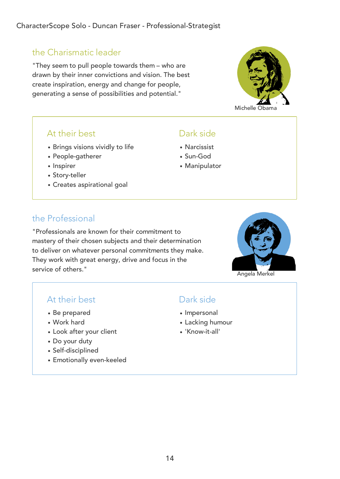# [the Charismatic leader](javascript:void(0))

"They seem to pull people towards them – who are drawn by their inner convictions and vision. The best create inspiration, energy and change for people, generating a sense of possibilities and potential."



### At their best

- Brings visions vividly to life
- People-gatherer
- Inspirer
- Story-teller
- Creates aspirational goal

# [the Professional](javascript:void(0))

"Professionals are known for their commitment to mastery of their chosen subjects and their determination to deliver on whatever personal commitments they make. They work with great energy, drive and focus in the service of others."



### At their best

- Be prepared
- Work hard
- Look after your client
- Do your duty
- Self-disciplined
- Emotionally even-keeled

# Dark side

Dark side

Narcissist Sun-God

Manipulator

- Impersonal
- Lacking humour
- 'Know-it-all'